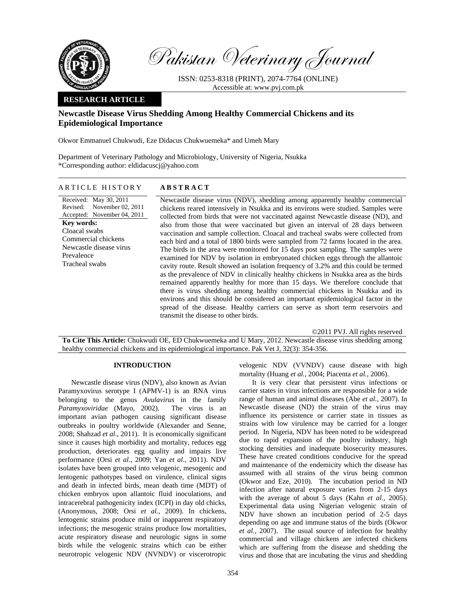

Pakistan Veterinary Journal

ISSN: 0253-8318 (PRINT), 2074-7764 (ONLINE) Accessible at: www.pvj.com.pk

# **RESEARCH ARTICLE**

# **Newcastle Disease Virus Shedding Among Healthy Commercial Chickens and its Epidemiological Importance**

Okwor Emmanuel Chukwudi, Eze Didacus Chukwuemeka\* and Umeh Mary

Department of Veterinary Pathology and Microbiology, University of Nigeria, Nsukka \*Corresponding author: eldidacuscj@yahoo.com

# ARTICLE HISTORY **ABSTRACT**

Received: May 30, 2011 Revised: Accepted: November 04, 2011 November 02, 2011 **Key words:**  Cloacal swabs Commercial chickens Newcastle disease virus Prevalence Tracheal swabs

Newcastle disease virus (NDV), shedding among apparently healthy commercial chickens reared intensively in Nsukka and its environs were studied. Samples were collected from birds that were not vaccinated against Newcastle disease (ND), and also from those that were vaccinated but given an interval of 28 days between vaccination and sample collection. Cloacal and tracheal swabs were collected from each bird and a total of 1800 birds were sampled from 72 farms located in the area. The birds in the area were monitored for 15 days post sampling. The samples were examined for NDV by isolation in embryonated chicken eggs through the allantoic cavity route. Result showed an isolation frequency of 3.2% and this could be termed as the prevalence of NDV in clinically healthy chickens in Nsukka area as the birds remained apparently healthy for more than 15 days. We therefore conclude that there is virus shedding among healthy commercial chickens in Nsukka and its environs and this should be considered an important epidemiological factor in the spread of the disease. Healthy carriers can serve as short term reservoirs and transmit the disease to other birds.

©2011 PVJ. All rights reserved

**To Cite This Article:** Chukwudi OE, ED Chukwuemeka and U Mary, 2012. Newcastle disease virus shedding among healthy commercial chickens and its epidemiological importance. Pak Vet J, 32(3): 354-356.

### **INTRODUCTION**

Newcastle disease virus (NDV), also known as Avian Paramyxovirus serotype I (APMV-1) is an RNA virus belonging to the genus *Avulavirus* in the family *Paramyxoviridae* (Mayo, 2002). The virus is an important avian pathogen causing significant disease outbreaks in poultry worldwide (Alexander and Senne*,*  2008; Shahzad *et al*., 2011). It is economically significant since it causes high morbidity and mortality, reduces egg production, deteriorates egg quality and impairs live performance (Orsi *et al.,* 2009; Yan *et al*., 2011). NDV isolates have been grouped into velogenic, mesogenic and lentogenic pathotypes based on virulence, clinical signs and death in infected birds, mean death time (MDT) of chicken embryos upon allantoic fluid inoculations, and intracerebral pathogenicity index (ICPI) in day old chicks, (Anonymous, 2008; Orsi *et al.,* 2009). In chickens, lentogenic strains produce mild or inapparent respiratory infections; the mesogenic strains produce low mortalities, acute respiratory disease and neurologic signs in some birds while the velogenic strains which can be either neurotropic velogenic NDV (NVNDV) or viscerotropic

velogenic NDV (VVNDV) cause disease with high mortality (Huang *et al.,* 2004; Piacenta *et al.,* 2006).

It is very clear that persistent virus infections or carrier states in virus infections are responsible for a wide range of human and animal diseases (Abe *et al.,* 2007). In Newcastle disease (ND) the strain of the virus may influence its persistence or carrier state in tissues as strains with low virulence may be carried for a longer period. In Nigeria, NDV has been noted to be widespread due to rapid expansion of the poultry industry, high stocking densities and inadequate biosecurity measures. These have created conditions conducive for the spread and maintenance of the endemicity which the disease has assumed with all strains of the virus being common (Okwor and Eze, 2010). The incubation period in ND infection after natural exposure varies from 2-15 days with the average of about 5 days (Kahn *et al.,* 2005). Experimental data using Nigerian velogenic strain of NDV have shown an incubation period of 2-5 days depending on age and immune status of the birds (Okwor *et al.,* 2007). The usual source of infection for healthy commercial and village chickens are infected chickens which are suffering from the disease and shedding the virus and those that are incubating the virus and shedding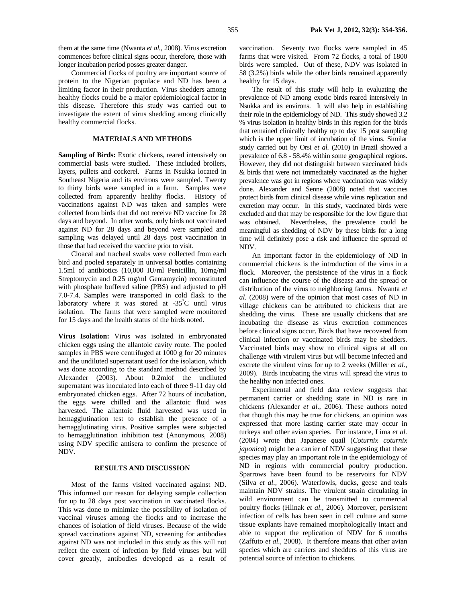them at the same time (Nwanta *et al.,* 2008). Virus excretion commences before clinical signs occur, therefore, those with longer incubation period posses greater danger.

Commercial flocks of poultry are important source of protein to the Nigerian populace and ND has been a limiting factor in their production. Virus shedders among healthy flocks could be a major epidemiological factor in this disease. Therefore this study was carried out to investigate the extent of virus shedding among clinically healthy commercial flocks.

#### **MATERIALS AND METHODS**

**Sampling of Birds:** Exotic chickens, reared intensively on commercial basis were studied. These included broilers, layers, pullets and cockerel. Farms in Nsukka located in Southeast Nigeria and its environs were sampled. Twenty to thirty birds were sampled in a farm. Samples were collected from apparently healthy flocks. History of vaccinations against ND was taken and samples were collected from birds that did not receive ND vaccine for 28 days and beyond. In other words, only birds not vaccinated against ND for 28 days and beyond were sampled and sampling was delayed until 28 days post vaccination in those that had received the vaccine prior to visit.

Cloacal and tracheal swabs were collected from each bird and pooled separately in universal bottles containing 1.5ml of antibiotics (10,000 IU/ml Penicillin, 10mg/ml Streptomycin and 0.25 mg/ml Gentamycin) reconstituted with phosphate buffered saline (PBS) and adjusted to pH 7.0-7.4. Samples were transported in cold flask to the laboratory where it was stored at -35° C until virus isolation. The farms that were sampled were monitored for 15 days and the health status of the birds noted.

**Virus Isolation:** Virus was isolated in embryonated chicken eggs using the allantoic cavity route. The pooled samples in PBS were centrifuged at 1000 g for 20 minutes and the undiluted supernatant used for the isolation, which was done according to the standard method described by Alexander (2003). About 0.2mlof the undiluted supernatant was inoculated into each of three 9-11 day old embryonated chicken eggs. After 72 hours of incubation, the eggs were chilled and the allantoic fluid was harvested. The allantoic fluid harvested was used in hemagglutination test to establish the presence of a hemagglutinating virus. Positive samples were subjected to hemagglutination inhibition test (Anonymous, 2008) using NDV specific antisera to confirm the presence of NDV.

#### **RESULTS AND DISCUSSION**

Most of the farms visited vaccinated against ND. This informed our reason for delaying sample collection for up to 28 days post vaccination in vaccinated flocks. This was done to minimize the possibility of isolation of vaccinal viruses among the flocks and to increase the chances of isolation of field viruses. Because of the wide spread vaccinations against ND, screening for antibodies against ND was not included in this study as this will not reflect the extent of infection by field viruses but will cover greatly, antibodies developed as a result of vaccination. Seventy two flocks were sampled in 45 farms that were visited. From 72 flocks, a total of 1800 birds were sampled. Out of these, NDV was isolated in 58 (3.2%) birds while the other birds remained apparently healthy for 15 days.

The result of this study will help in evaluating the prevalence of ND among exotic birds reared intensively in Nsukka and its environs. It will also help in establishing their role in the epidemiology of ND. This study showed 3.2 % virus isolation in healthy birds in this region for the birds that remained clinically healthy up to day 15 post sampling which is the upper limit of incubation of the virus. Similar study carried out by Orsi *et al.* (2010) in Brazil showed a prevalence of 6.8 - 58.4% within some geographical regions. However, they did not distinguish between vaccinated birds & birds that were not immediately vaccinated as the higher prevalence was got in regions where vaccination was widely done. Alexander and Senne (2008) noted that vaccines protect birds from clinical disease while virus replication and excretion may occur. In this study, vaccinated birds were excluded and that may be responsible for the low figure that was obtained. Nevertheless, the prevalence could be meaningful as shedding of NDV by these birds for a long time will definitely pose a risk and influence the spread of NDV.

An important factor in the epidemiology of ND in commercial chickens is the introduction of the virus in a flock. Moreover, the persistence of the virus in a flock can influence the course of the disease and the spread or distribution of the virus to neighboring farms. Nwanta *et al.* (2008) were of the opinion that most cases of ND in village chickens can be attributed to chickens that are shedding the virus. These are usually chickens that are incubating the disease as virus excretion commences before clinical signs occur. Birds that have recovered from clinical infection or vaccinated birds may be shedders. Vaccinated birds may show no clinical signs at all on challenge with virulent virus but will become infected and excrete the virulent virus for up to 2 weeks (Miller *et al.,*  2009). Birds incubating the virus will spread the virus to the healthy non infected ones.

Experimental and field data review suggests that permanent carrier or shedding state in ND is rare in chickens (Alexander *et al.,* 2006). These authors noted that though this may be true for chickens, an opinion was expressed that more lasting carrier state may occur in turkeys and other avian species. For instance, Lima *et al.* (2004) wrote that Japanese quail (*Coturnix coturnix japonica*) might be a carrier of NDV suggesting that these species may play an important role in the epidemiology of ND in regions with commercial poultry production. Sparrows have been found to be reservoirs for NDV (Silva *et al.,* 2006). Waterfowls, ducks, geese and teals maintain NDV strains. The virulent strain circulating in wild environment can be transmitted to commercial poultry flocks (Hlinak *et al.,* 2006). Moreover, persistent infection of cells has been seen in cell culture and some tissue explants have remained morphologically intact and able to support the replication of NDV for 6 months (Zaffuto *et al.,* 2008). It therefore means that other avian species which are carriers and shedders of this virus are potential source of infection to chickens.